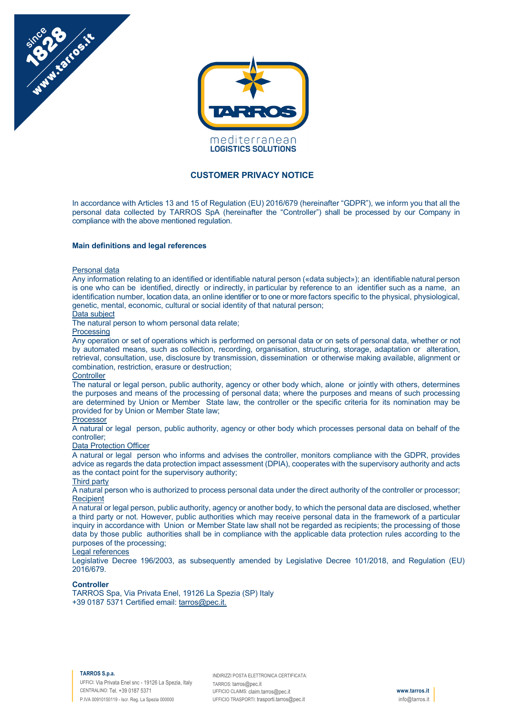



# **CUSTOMER PRIVACY NOTICE**

In accordance with Articles 13 and 15 of Regulation (EU) 2016/679 (hereinafter "GDPR"), we inform you that all the personal data collected by TARROS SpA (hereinafter the "Controller") shall be processed by our Company in compliance with the above mentioned regulation.

## **Main definitions and legal references**

### Personal data

Any information relating to an identified or identifiable natural person («data subject»); an identifiable natural person is one who can be identified, directly or indirectly, in particular by reference to an identifier such as a name, an identification number, location data, an online identifier or to one or more factors specific to the physical, physiological, genetic, mental, economic, cultural or social identity of that natural person;

# Data subject

The natural person to whom personal data relate;

**Processing** 

Any operation or set of operations which is performed on personal data or on sets of personal data, whether or not by automated means, such as collection, recording, organisation, structuring, storage, adaptation or alteration, retrieval, consultation, use, disclosure by transmission, dissemination or otherwise making available, alignment or combination, restriction, erasure or destruction;

# **Controller**

The natural or legal person, public authority, agency or other body which, alone or jointly with others, determines the purposes and means of the processing of personal data; where the purposes and means of such processing are determined by Union or Member State law, the controller or the specific criteria for its nomination may be provided for by Union or Member State law;

# Processor

A natural or legal person, public authority, agency or other body which processes personal data on behalf of the controller;

## Data Protection Officer

A natural or legal person who informs and advises the controller, monitors compliance with the GDPR, provides advice as regards the data protection impact assessment (DPIA), cooperates with the supervisory authority and acts as the contact point for the supervisory authority;

# Third party

A natural person who is authorized to process personal data under the direct authority of the controller or processor; **Recipient** 

A natural or legal person, public authority, agency or another body, to which the personal data are disclosed, whether a third party or not. However, public authorities which may receive personal data in the framework of a particular inquiry in accordance with Union or Member State law shall not be regarded as recipients; the processing of those data by those public authorities shall be in compliance with the applicable data protection rules according to the purposes of the processing;

### Legal references

Legislative Decree 196/2003, as subsequently amended by Legislative Decree 101/2018, and Regulation (EU) 2016/679.

## **Controller**

TARROS Spa, Via Privata Enel, 19126 La Spezia (SP) Italy +39 0187 5371 Certified email: tarros@pec.it.

### **TARROS S.p.a.**

UFFICI: Via Privata Enel snc - 19126 La Spezia, Italy CENTRALINO: Tel. +39 0187 5371 P.IVA 00910150119 - Iscr. Reg. La Spezia 000000

INDIRIZZI POSTA ELETTRONICA CERTIFICATA: TARROS: tarros@pec.it UFFICIO CLAIMS: claim.tarros@pec.it UFFICIO TRASPORTI: trasporti.tarros@pec.it

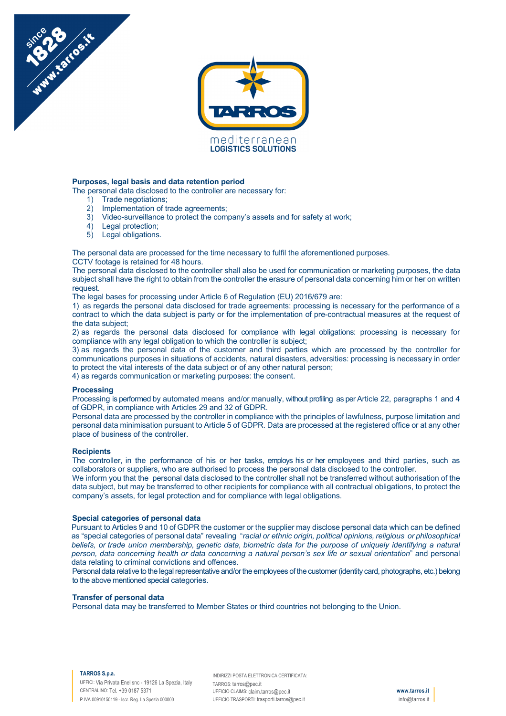

# **Purposes, legal basis and data retention period**

The personal data disclosed to the controller are necessary for:

1) Trade negotiations;

Manufactosite

- 2) Implementation of trade agreements;
- 3) Video-surveillance to protect the company's assets and for safety at work;
- 4) Legal protection;
- 5) Legal obligations.

The personal data are processed for the time necessary to fulfil the aforementioned purposes.

CCTV footage is retained for 48 hours.

The personal data disclosed to the controller shall also be used for communication or marketing purposes, the data subject shall have the right to obtain from the controller the erasure of personal data concerning him or her on written request.

The legal bases for processing under Article 6 of Regulation (EU) 2016/679 are:

1) as regards the personal data disclosed for trade agreements: processing is necessary for the performance of a contract to which the data subject is party or for the implementation of pre-contractual measures at the request of the data subject;

2) as regards the personal data disclosed for compliance with legal obligations: processing is necessary for compliance with any legal obligation to which the controller is subject;

3) as regards the personal data of the customer and third parties which are processed by the controller for communications purposes in situations of accidents, natural disasters, adversities: processing is necessary in order to protect the vital interests of the data subject or of any other natural person;

4) as regards communication or marketing purposes: the consent.

### **Processing**

Processing is performed by automated means and/or manually, without profiling as per Article 22, paragraphs 1 and 4 of GDPR, in compliance with Articles 29 and 32 of GDPR.

Personal data are processed by the controller in compliance with the principles of lawfulness, purpose limitation and personal data minimisation pursuant to Article 5 of GDPR. Data are processed at the registered office or at any other place of business of the controller.

### **Recipients**

The controller, in the performance of his or her tasks, employs his or her employees and third parties, such as collaborators or suppliers, who are authorised to process the personal data disclosed to the controller.

We inform you that the personal data disclosed to the controller shall not be transferred without authorisation of the data subject, but may be transferred to other recipients for compliance with all contractual obligations, to protect the company's assets, for legal protection and for compliance with legal obligations.

# **Special categories of personal data**

Pursuant to Articles 9 and 10 of GDPR the customer or the supplier may disclose personal data which can be defined as "special categories of personal data" revealing "*racial or ethnic origin, political opinions, religious or philosophical beliefs, or trade union membership, genetic data, biometric data for the purpose of uniquely identifying a natural person, data concerning health or data concerning a natural person's sex life or sexual orientation*" and personal data relating to criminal convictions and offences.

Personal data relative to the legal representative and/or the employees of the customer (identity card, photographs, etc.) belong to the above mentioned special categories.

### **Transfer of personal data**

Personal data may be transferred to Member States or third countries not belonging to the Union.

### **TARROS S.p.a.**

UFFICI: Via Privata Enel snc - 19126 La Spezia, Italy CENTRALINO: Tel. +39 0187 5371 P.IVA 00910150119 - Iscr. Reg. La Spezia 000000

INDIRIZZI POSTA ELETTRONICA CERTIFICATA: TARROS: tarros@pec.it UFFICIO CLAIMS: claim.tarros@pec.it UFFICIO TRASPORTI: trasporti.tarros@pec.it